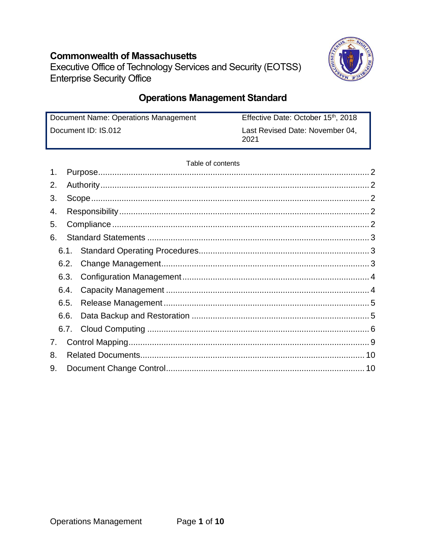## **Commonwealth of Massachusetts**



Executive Office of Technology Services and Security (EOTSS) **Enterprise Security Office** 

# **Operations Management Standard**

| Document Name: Operations Management | Effective Date: October 15 <sup>th</sup> , 2018 |
|--------------------------------------|-------------------------------------------------|
| Document ID: IS.012                  | Last Revised Date: November 04,<br>2021         |

### Table of contents

| 1. |      |  |  |  |  |
|----|------|--|--|--|--|
| 2. |      |  |  |  |  |
| 3. |      |  |  |  |  |
| 4. |      |  |  |  |  |
| 5. |      |  |  |  |  |
| 6. |      |  |  |  |  |
|    | 6.1. |  |  |  |  |
|    | 6.2. |  |  |  |  |
|    |      |  |  |  |  |
|    | 6.4. |  |  |  |  |
|    | 6.5. |  |  |  |  |
|    | 6.6. |  |  |  |  |
|    |      |  |  |  |  |
| 7. |      |  |  |  |  |
| 8. |      |  |  |  |  |
| 9. |      |  |  |  |  |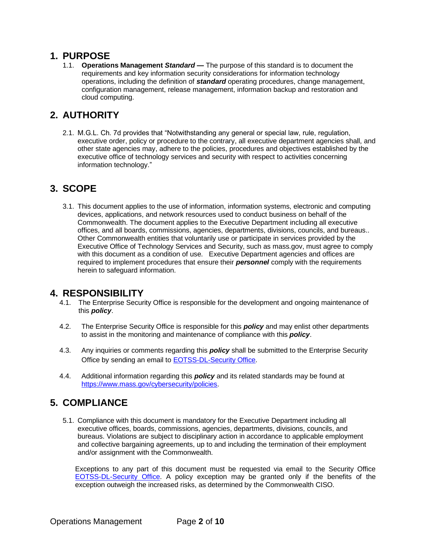### <span id="page-1-0"></span>**1. PURPOSE**

1.1. **Operations Management** *Standard* **—** The purpose of this standard is to document the requirements and key information security considerations for information technology operations, including the definition of *standard* operating procedures, change management, configuration management, release management, information backup and restoration and cloud computing.

# <span id="page-1-1"></span>**2. AUTHORITY**

2.1. M.G.L. Ch. 7d provides that "Notwithstanding any general or special law, rule, regulation, executive order, policy or procedure to the contrary, all executive department agencies shall, and other state agencies may, adhere to the policies, procedures and objectives established by the executive office of technology services and security with respect to activities concerning information technology."

# <span id="page-1-2"></span>**3. SCOPE**

3.1. This document applies to the use of information, information systems, electronic and computing devices, applications, and network resources used to conduct business on behalf of the Commonwealth. The document applies to the Executive Department including all executive offices, and all boards, commissions, agencies, departments, divisions, councils, and bureaus.. Other Commonwealth entities that voluntarily use or participate in services provided by the Executive Office of Technology Services and Security, such as mass.gov, must agree to comply with this document as a condition of use. Executive Department agencies and offices are required to implement procedures that ensure their *personnel* comply with the requirements herein to safeguard information.

### <span id="page-1-3"></span>**4. RESPONSIBILITY**

- 4.1. The Enterprise Security Office is responsible for the development and ongoing maintenance of this *policy*.
- 4.2. The Enterprise Security Office is responsible for this *policy* and may enlist other departments to assist in the monitoring and maintenance of compliance with this *policy*.
- 4.3. Any inquiries or comments regarding this *policy* shall be submitted to the Enterprise Security Office by sending an email t[o EOTSS-DL-Security Office.](mailto:EOTSS-DL-SecurityOfficeManagers)
- 4.4. Additional information regarding this *policy* and its related standards may be found at [https://www.mass.gov/cybersecurity/policies.](https://www.mass.gov/cybersecurity/policies)

### <span id="page-1-4"></span>**5. COMPLIANCE**

5.1. Compliance with this document is mandatory for the Executive Department including all executive offices, boards, commissions, agencies, departments, divisions, councils, and bureaus. Violations are subject to disciplinary action in accordance to applicable employment and collective bargaining agreements, up to and including the termination of their employment and/or assignment with the Commonwealth.

Exceptions to any part of this document must be requested via email to the Security Office [EOTSS-DL-Security Office.](mailto:EOTSS-DL-SecurityOfficeManagers) A policy exception may be granted only if the benefits of the exception outweigh the increased risks, as determined by the Commonwealth CISO.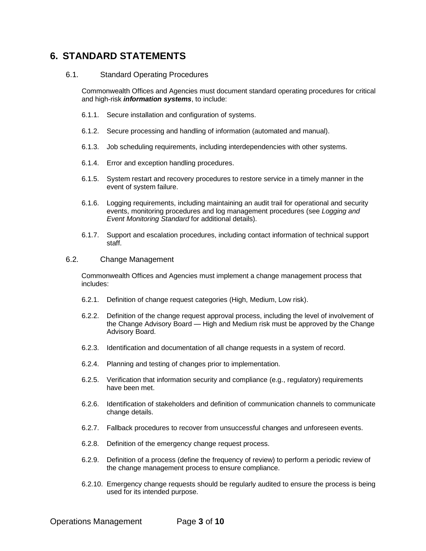### <span id="page-2-3"></span><span id="page-2-0"></span>**6. STANDARD STATEMENTS**

### <span id="page-2-1"></span>6.1. Standard Operating Procedures

Commonwealth Offices and Agencies must document standard operating procedures for critical and high-risk *information systems*, to include:

- 6.1.1. Secure installation and configuration of systems.
- 6.1.2. Secure processing and handling of information (automated and manual).
- 6.1.3. Job scheduling requirements, including interdependencies with other systems.
- 6.1.4. Error and exception handling procedures.
- 6.1.5. System restart and recovery procedures to restore service in a timely manner in the event of system failure.
- 6.1.6. Logging requirements, including maintaining an audit trail for operational and security events, monitoring procedures and log management procedures (see *Logging and Event Monitoring Standard* for additional details).
- 6.1.7. Support and escalation procedures, including contact information of technical support staff.

#### <span id="page-2-2"></span>6.2. Change Management

Commonwealth Offices and Agencies must implement a change management process that includes:

- 6.2.1. Definition of change request categories (High, Medium, Low risk).
- 6.2.2. Definition of the change request approval process, including the level of involvement of the Change Advisory Board — High and Medium risk must be approved by the Change Advisory Board.
- 6.2.3. Identification and documentation of all change requests in a system of record.
- 6.2.4. Planning and testing of changes prior to implementation.
- 6.2.5. Verification that information security and compliance (e.g., regulatory) requirements have been met.
- 6.2.6. Identification of stakeholders and definition of communication channels to communicate change details.
- 6.2.7. Fallback procedures to recover from unsuccessful changes and unforeseen events.
- 6.2.8. Definition of the emergency change request process.
- 6.2.9. Definition of a process (define the frequency of review) to perform a periodic review of the change management process to ensure compliance.
- 6.2.10. Emergency change requests should be regularly audited to ensure the process is being used for its intended purpose.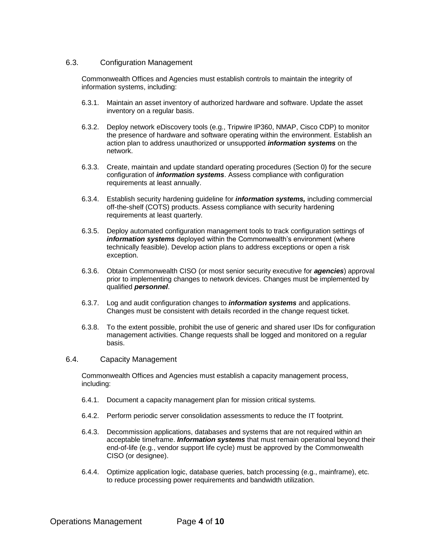### <span id="page-3-0"></span>6.3. Configuration Management

Commonwealth Offices and Agencies must establish controls to maintain the integrity of information systems, including:

- 6.3.1. Maintain an asset inventory of authorized hardware and software. Update the asset inventory on a regular basis.
- 6.3.2. Deploy network eDiscovery tools (e.g., Tripwire IP360, NMAP, Cisco CDP) to monitor the presence of hardware and software operating within the environment. Establish an action plan to address unauthorized or unsupported *information systems* on the network.
- 6.3.3. Create, maintain and update standard operating procedures (Section [0\)](#page-2-3) for the secure configuration of *information systems*. Assess compliance with configuration requirements at least annually.
- 6.3.4. Establish security hardening guideline for *information systems,* including commercial off-the-shelf (COTS) products. Assess compliance with security hardening requirements at least quarterly.
- 6.3.5. Deploy automated configuration management tools to track configuration settings of *information systems* deployed within the Commonwealth's environment (where technically feasible). Develop action plans to address exceptions or open a risk exception.
- 6.3.6. Obtain Commonwealth CISO (or most senior security executive for *agencies*) approval prior to implementing changes to network devices. Changes must be implemented by qualified *personnel*.
- 6.3.7. Log and audit configuration changes to *information systems* and applications. Changes must be consistent with details recorded in the change request ticket.
- 6.3.8. To the extent possible, prohibit the use of generic and shared user IDs for configuration management activities. Change requests shall be logged and monitored on a regular basis.

#### <span id="page-3-1"></span>6.4. Capacity Management

Commonwealth Offices and Agencies must establish a capacity management process, including:

- 6.4.1. Document a capacity management plan for mission critical systems.
- 6.4.2. Perform periodic server consolidation assessments to reduce the IT footprint.
- 6.4.3. Decommission applications, databases and systems that are not required within an acceptable timeframe. *Information systems* that must remain operational beyond their end-of-life (e.g., vendor support life cycle) must be approved by the Commonwealth CISO (or designee).
- 6.4.4. Optimize application logic, database queries, batch processing (e.g., mainframe), etc. to reduce processing power requirements and bandwidth utilization.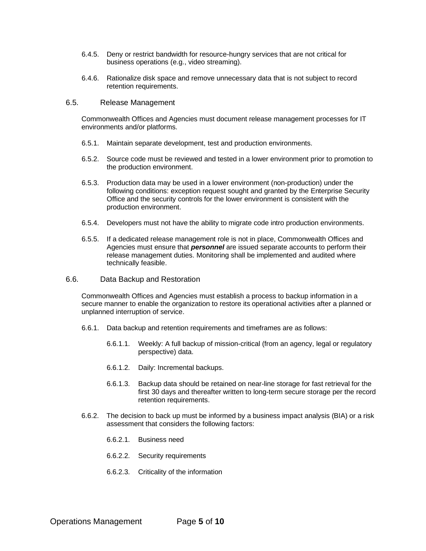- 6.4.5. Deny or restrict bandwidth for resource-hungry services that are not critical for business operations (e.g., video streaming).
- 6.4.6. Rationalize disk space and remove unnecessary data that is not subject to record retention requirements.

#### <span id="page-4-0"></span>6.5. Release Management

Commonwealth Offices and Agencies must document release management processes for IT environments and/or platforms.

- 6.5.1. Maintain separate development, test and production environments.
- 6.5.2. Source code must be reviewed and tested in a lower environment prior to promotion to the production environment.
- 6.5.3. Production data may be used in a lower environment (non-production) under the following conditions: exception request sought and granted by the Enterprise Security Office and the security controls for the lower environment is consistent with the production environment.
- 6.5.4. Developers must not have the ability to migrate code intro production environments.
- 6.5.5. If a dedicated release management role is not in place, Commonwealth Offices and Agencies must ensure that *personnel* are issued separate accounts to perform their release management duties. Monitoring shall be implemented and audited where technically feasible.
- <span id="page-4-1"></span>6.6. Data Backup and Restoration

Commonwealth Offices and Agencies must establish a process to backup information in a secure manner to enable the organization to restore its operational activities after a planned or unplanned interruption of service.

- 6.6.1. Data backup and retention requirements and timeframes are as follows:
	- 6.6.1.1. Weekly: A full backup of mission-critical (from an agency, legal or regulatory perspective) data.
	- 6.6.1.2. Daily: Incremental backups.
	- 6.6.1.3. Backup data should be retained on near-line storage for fast retrieval for the first 30 days and thereafter written to long-term secure storage per the record retention requirements.
- 6.6.2. The decision to back up must be informed by a business impact analysis (BIA) or a risk assessment that considers the following factors:
	- 6.6.2.1. Business need
	- 6.6.2.2. Security requirements
	- 6.6.2.3. Criticality of the information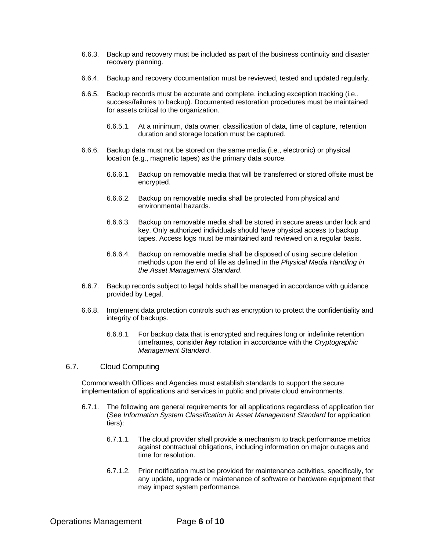- 6.6.3. Backup and recovery must be included as part of the business continuity and disaster recovery planning.
- 6.6.4. Backup and recovery documentation must be reviewed, tested and updated regularly.
- 6.6.5. Backup records must be accurate and complete, including exception tracking (i.e., success/failures to backup). Documented restoration procedures must be maintained for assets critical to the organization.
	- 6.6.5.1. At a minimum, data owner, classification of data, time of capture, retention duration and storage location must be captured.
- 6.6.6. Backup data must not be stored on the same media (i.e., electronic) or physical location (e.g., magnetic tapes) as the primary data source.
	- 6.6.6.1. Backup on removable media that will be transferred or stored offsite must be encrypted.
	- 6.6.6.2. Backup on removable media shall be protected from physical and environmental hazards.
	- 6.6.6.3. Backup on removable media shall be stored in secure areas under lock and key. Only authorized individuals should have physical access to backup tapes. Access logs must be maintained and reviewed on a regular basis.
	- 6.6.6.4. Backup on removable media shall be disposed of using secure deletion methods upon the end of life as defined in the *Physical Media Handling in the Asset Management Standard*.
- 6.6.7. Backup records subject to legal holds shall be managed in accordance with guidance provided by Legal.
- 6.6.8. Implement data protection controls such as encryption to protect the confidentiality and integrity of backups.
	- 6.6.8.1. For backup data that is encrypted and requires long or indefinite retention timeframes, consider *key* rotation in accordance with the *Cryptographic Management Standard*.

### <span id="page-5-0"></span>6.7. Cloud Computing

Commonwealth Offices and Agencies must establish standards to support the secure implementation of applications and services in public and private cloud environments.

- <span id="page-5-1"></span>6.7.1. The following are general requirements for all applications regardless of application tier (See *Information System Classification in Asset Management Standard* for application tiers):
	- 6.7.1.1. The cloud provider shall provide a mechanism to track performance metrics against contractual obligations, including information on major outages and time for resolution.
	- 6.7.1.2. Prior notification must be provided for maintenance activities, specifically, for any update, upgrade or maintenance of software or hardware equipment that may impact system performance.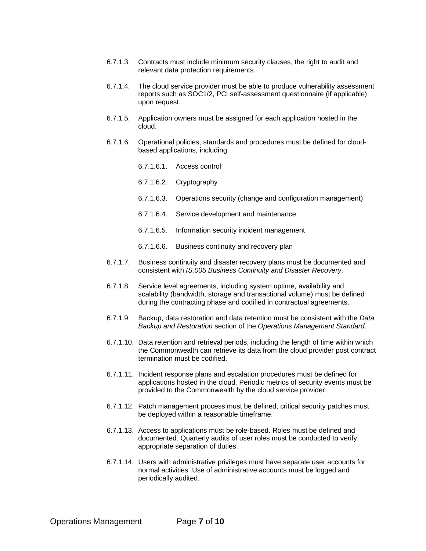- 6.7.1.3. Contracts must include minimum security clauses, the right to audit and relevant data protection requirements.
- 6.7.1.4. The cloud service provider must be able to produce vulnerability assessment reports such as SOC1/2, PCI self-assessment questionnaire (if applicable) upon request.
- 6.7.1.5. Application owners must be assigned for each application hosted in the cloud.
- 6.7.1.6. Operational policies, standards and procedures must be defined for cloudbased applications, including:
	- 6.7.1.6.1. Access control
	- 6.7.1.6.2. Cryptography
	- 6.7.1.6.3. Operations security (change and configuration management)
	- 6.7.1.6.4. Service development and maintenance
	- 6.7.1.6.5. Information security incident management
	- 6.7.1.6.6. Business continuity and recovery plan
- 6.7.1.7. Business continuity and disaster recovery plans must be documented and consistent with *IS.005 Business Continuity and Disaster Recovery*.
- 6.7.1.8. Service level agreements, including system uptime, availability and scalability (bandwidth, storage and transactional volume) must be defined during the contracting phase and codified in contractual agreements.
- 6.7.1.9. Backup, data restoration and data retention must be consistent with the *Data Backup and Restoration* section of the *Operations Management Standard*.
- 6.7.1.10. Data retention and retrieval periods, including the length of time within which the Commonwealth can retrieve its data from the cloud provider post contract termination must be codified.
- 6.7.1.11. Incident response plans and escalation procedures must be defined for applications hosted in the cloud. Periodic metrics of security events must be provided to the Commonwealth by the cloud service provider.
- 6.7.1.12. Patch management process must be defined, critical security patches must be deployed within a reasonable timeframe.
- 6.7.1.13. Access to applications must be role-based. Roles must be defined and documented. Quarterly audits of user roles must be conducted to verify appropriate separation of duties.
- 6.7.1.14. Users with administrative privileges must have separate user accounts for normal activities. Use of administrative accounts must be logged and periodically audited.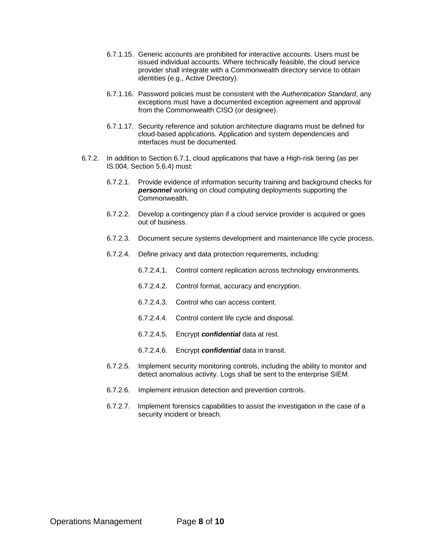- 6.7.1.15. Generic accounts are prohibited for interactive accounts. Users must be issued individual accounts. Where technically feasible, the cloud service provider shall integrate with a Commonwealth directory service to obtain identities (e.g., Active Directory).
- 6.7.1.16. Password policies must be consistent with the *Authentication Standard*, any exceptions must have a documented exception agreement and approval from the Commonwealth CISO (or designee).
- 6.7.1.17. Security reference and solution architecture diagrams must be defined for cloud-based applications. Application and system dependencies and interfaces must be documented.
- 6.7.2. In addition to Sectio[n 6.7.1,](#page-5-1) cloud applications that have a High-risk tiering (as per IS.004, Section 5.6.4) must:
	- 6.7.2.1. Provide evidence of information security training and background checks for *personnel* working on cloud computing deployments supporting the Commonwealth.
	- 6.7.2.2. Develop a contingency plan if a cloud service provider is acquired or goes out of business.
	- 6.7.2.3. Document secure systems development and maintenance life cycle process.
	- 6.7.2.4. Define privacy and data protection requirements, including:
		- 6.7.2.4.1. Control content replication across technology environments.
		- 6.7.2.4.2. Control format, accuracy and encryption.
		- 6.7.2.4.3. Control who can access content.
		- 6.7.2.4.4. Control content life cycle and disposal.
		- 6.7.2.4.5. Encrypt *confidential* data at rest.
		- 6.7.2.4.6. Encrypt *confidential* data in transit.
	- 6.7.2.5. Implement security monitoring controls, including the ability to monitor and detect anomalous activity. Logs shall be sent to the enterprise SIEM.
	- 6.7.2.6. Implement intrusion detection and prevention controls.
	- 6.7.2.7. Implement forensics capabilities to assist the investigation in the case of a security incident or breach.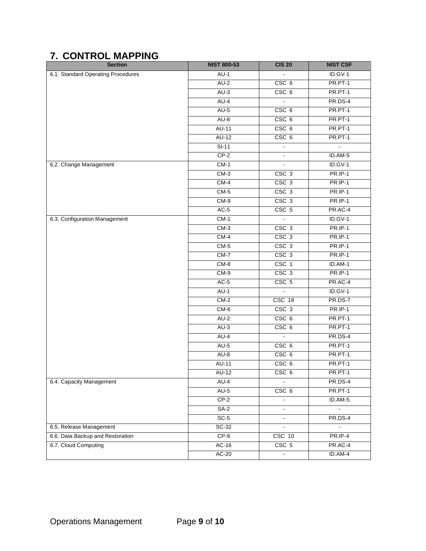# <span id="page-8-0"></span>**7. CONTROL MAPPING**

| <b>Section</b>                     | <b>NIST 800-53</b> | <b>CIS 20</b>            | <b>NIST CSF</b> |
|------------------------------------|--------------------|--------------------------|-----------------|
| 6.1. Standard Operating Procedures | $AU-1$             |                          | $ID.GV-1$       |
|                                    | $AU-2$             | CSC <sub>6</sub>         | PR.PT-1         |
|                                    | $AU-3$             | CSC <sub>6</sub>         | PR.PT-1         |
|                                    | $AU-4$             |                          | PR.DS-4         |
|                                    | $AU-5$             | CSC <sub>6</sub>         | PR.PT-1         |
|                                    | $AU-8$             | CSC <sub>6</sub>         | PR.PT-1         |
|                                    | <b>AU-11</b>       | CSC <sub>6</sub>         | PR.PT-1         |
|                                    | $AU-12$            | CSC <sub>6</sub>         | PR.PT-1         |
|                                    | $SI-11$            |                          |                 |
|                                    | $CP-2$             |                          | ID.AM-5         |
| 6.2. Change Management             | $CM-1$             |                          | ID.GV-1         |
|                                    | $CM-3$             | CSC <sub>3</sub>         | <b>PR.IP-1</b>  |
|                                    | $CM-4$             | CSC <sub>3</sub>         | <b>PR.IP-1</b>  |
|                                    | $CM-5$             | CSC <sub>3</sub>         | <b>PR.IP-1</b>  |
|                                    | $CM-9$             | CSC <sub>3</sub>         | <b>PR.IP-1</b>  |
|                                    | $AC-5$             | CSC <sub>5</sub>         | PR.AC-4         |
| 6.3. Configuration Management      | $CM-1$             |                          | $ID.GV-1$       |
|                                    | $CM-3$             | $CSC$ 3                  | <b>PR.IP-1</b>  |
|                                    | $CM-4$             | CSC <sub>3</sub>         | <b>PR.IP-1</b>  |
|                                    | $CM-5$             | CSC <sub>3</sub>         | <b>PR.IP-1</b>  |
|                                    | $CM-7$             | CSC <sub>3</sub>         | <b>PR.IP-1</b>  |
|                                    | $CM-8$             | $CSC$ 1                  | ID.AM-1         |
|                                    | $CM-9$             | CSC <sub>3</sub>         | PR.IP-1         |
|                                    | $AC-5$             | CSC <sub>5</sub>         | PR.AC-4         |
|                                    | $AU-1$             |                          | $ID.GV-1$       |
|                                    | $CM-2$             | CSC 18                   | PR.DS-7         |
|                                    | $CM-6$             | CSC <sub>3</sub>         | <b>PR.IP-1</b>  |
|                                    | $AU-2$             | CSC <sub>6</sub>         | PR.PT-1         |
|                                    | $AU-3$             | CSC <sub>6</sub>         | PR.PT-1         |
|                                    | AU-4               |                          | PR.DS-4         |
|                                    | $AU-5$             | CSC <sub>6</sub>         | PR.PT-1         |
|                                    | $AU-8$             | CSC <sub>6</sub>         | PR.PT-1         |
|                                    | <b>AU-11</b>       | CSC <sub>6</sub>         | PR.PT-1         |
|                                    | <b>AU-12</b>       | CSC <sub>6</sub>         | PR.PT-1         |
| 6.4. Capacity Management           | AU-4               |                          | PR.DS-4         |
|                                    | $AU-5$             | CSC <sub>6</sub>         | PR.PT-1         |
|                                    | $CP-2$             | $\frac{1}{2}$            | ID.AM-5         |
|                                    | $SA-2$             | $\blacksquare$           | $\blacksquare$  |
|                                    | $SC-5$             | ÷,                       | PR.DS-4         |
| 6.5. Release Management            | $SC-32$            | $\overline{\phantom{a}}$ | $\blacksquare$  |
| 6.6. Data Backup and Restoration   | $CP-9$             | CSC 10                   | PR.IP-4         |
| 6.7. Cloud Computing               | $AC-16$            | CSC 5                    | PR.AC-4         |
|                                    | $AC-20$            | $\blacksquare$           | ID.AM-4         |